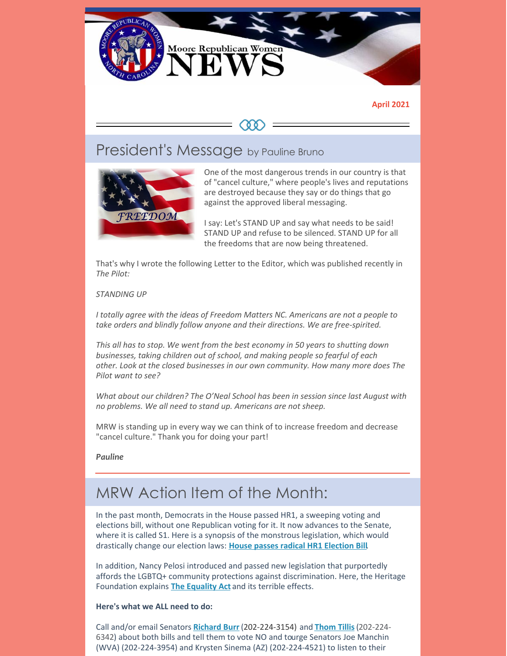

#### **April 2021**



# President's Message by Pauline Bruno



One of the most dangerous trends in our country is that of "cancel culture," where people's lives and reputations are destroyed because they say or do things that go against the approved liberal messaging.

I say: Let's STAND UP and say what needs to be said! STAND UP and refuse to be silenced. STAND UP for all the freedoms that are now being threatened.

That's why I wrote the following Letter to the Editor, which was published recently in *The Pilot:*

#### *STANDING UP*

*I totally agree with the ideas of Freedom Matters NC. Americans are not a people to take orders and blindly follow anyone and their directions. We are free-spirited.*

*This all has to stop. We went from the best economy in 50 years to shutting down businesses, taking children out of school, and making people so fearful of each other. Look at the closed businesses in our own community. How many more does The Pilot want to see?*

*What about our children? The O'Neal School has been in session since last August with no problems. We all need to stand up. Americans are not sheep.*

MRW is standing up in every way we can think of to increase freedom and decrease "cancel culture." Thank you for doing your part!

*Pauline*

# MRW Action Item of the Month:

In the past month, Democrats in the House passed HR1, a sweeping voting and elections bill, without one Republican voting for it. It now advances to the Senate, where it is called S1. Here is a synopsis of the monstrous legislation, which would drastically change our election laws: **House passes radical HR1 [Election](https://www.newsmax.com/newsfront/congress-elections-bill-voting-rights/2021/03/04/id/1012440/) Bill**.

In addition, Nancy Pelosi introduced and passed new legislation that purportedly affords the LGBTQ+ community protections against discrimination. Here, the Heritage Foundation explains **The [Equality](https://www.heritage.org/gender/heritage-explains/the-equality-act) Act** and its terrible effects.

#### **Here's what we ALL need to do:**

Call and/or email Senators **[Richard](https://www.burr.senate.gov/contact/email) Burr** (202-224-3154) and **[Thom](https://www.tillis.senate.gov/home) Tillis**(202-224- 6342) about both bills and tell them to vote NO and tourge Senators Joe Manchin (WVA) (202-224-3954) and Krysten Sinema (AZ) (202-224-4521) to listen to their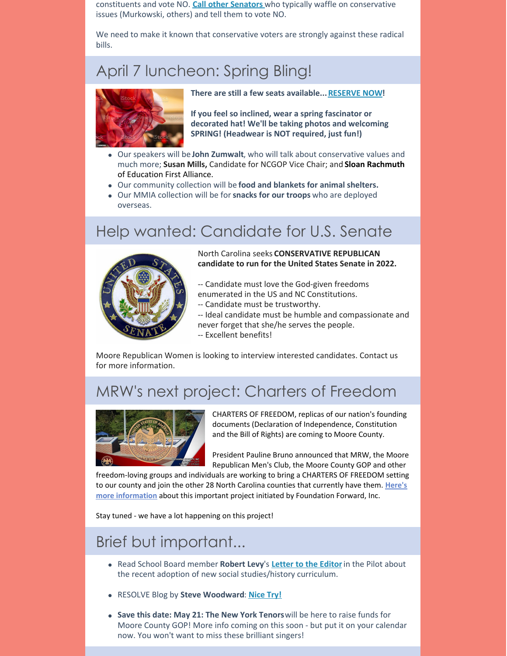constituents and vote NO. **Call other [Senators](https://www.senate.gov/senators/senators-contact.htm?Class=1)** who typically waffle on conservative issues (Murkowski, others) and tell them to vote NO.

We need to make it known that conservative voters are strongly against these radical bills.

# April 7 luncheon: Spring Bling!



**There are still a few seats available...[RESERVE](https://www.mrwnc.org/make-lunch-reservation) NOW!**

**If you feel so inclined, wear a spring fascinator or decorated hat! We'll be taking photos and welcoming SPRING! (Headwear is NOT required, just fun!)**

- Our speakers will be **John Zumwalt**, who will talk about conservative values and much more; **Susan Mills,** Candidate for NCGOP Vice Chair; and **Sloan Rachmuth** of Education First Alliance.
- Our community collection will be **food and blankets for animal shelters.**
- Our MMIA collection will be for**snacks for our troops** who are deployed overseas.

# Help wanted: Candidate for U.S. Senate



North Carolina seeks **CONSERVATIVE REPUBLICAN candidate to run for the United States Senate in 2022.**

- -- Candidate must love the God-given freedoms enumerated in the US and NC Constitutions.
- -- Candidate must be trustworthy.
- -- Ideal candidate must be humble and compassionate and
- never forget that she/he serves the people.
- -- Excellent benefits!

Moore Republican Women is looking to interview interested candidates. Contact us for more information.

# MRW's next project: Charters of Freedom



CHARTERS OF FREEDOM, replicas of our nation's founding documents (Declaration of Independence, Constitution and the Bill of Rights) are coming to Moore County.

President Pauline Bruno announced that MRW, the Moore Republican Men's Club, the Moore County GOP and other

freedom-loving groups and individuals are working to bring a CHARTERS OF FREEDOM setting to our county and join the other 28 North Carolina counties that currently have them. **Here's more [information](https://www.chartersoffreedom.com)** about this important project initiated by Foundation Forward, Inc.

Stay tuned - we have a lot happening on this project!

# Brief but important...

- Read School Board member **Robert Levy**'s **[Letter](https://www.thepilot.com/opinion/letter-teach-history-properly/article_e8aaeb48-810b-11eb-92ac-9b09bc022231.html) to the Editor**in the Pilot about the recent adoption of new social studies/history curriculum.
- RESOLVE Blog by **Steve Woodward**: **[Nice](https://resolvenc.blog/2021/03/15/nice-try/) Try!**
- **Save this date: May 21: The New York Tenors**will be here to raise funds for Moore County GOP! More info coming on this soon - but put it on your calendar now. You won't want to miss these brilliant singers!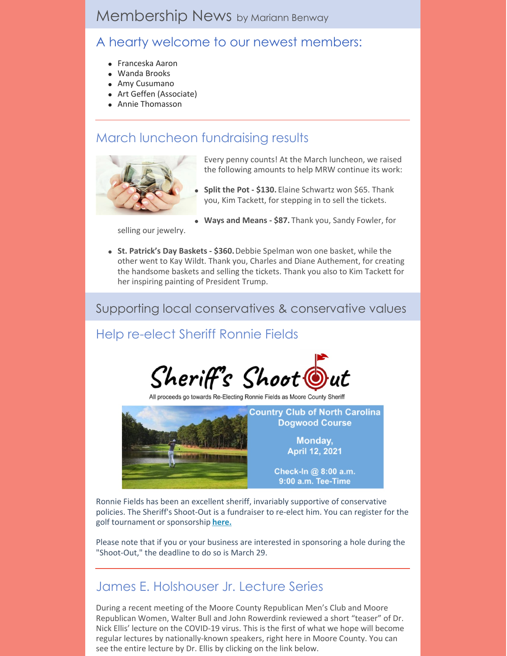# Membership News by Mariann Benway

### A hearty welcome to our newest members:

- Franceska Aaron
- Wanda Brooks
- Amy Cusumano
- Art Geffen (Associate)
- Annie Thomasson

## March luncheon fundraising results



Every penny counts! At the March luncheon, we raised the following amounts to help MRW continue its work:

- **Split the Pot - \$130.** Elaine Schwartz won \$65. Thank you, Kim Tackett, for stepping in to sell the tickets.
- **Ways and Means - \$87.** Thank you, Sandy Fowler, for

selling our jewelry.

**St. Patrick's Day Baskets - \$360.**Debbie Spelman won one basket, while the other went to Kay Wildt. Thank you, Charles and Diane Authement, for creating the handsome baskets and selling the tickets. Thank you also to Kim Tackett for her inspiring painting of President Trump.

Supporting local conservatives & conservative values

## Help re-elect Sheriff Ronnie Fields



All proceeds go towards Re-Electing Ronnie Fields as Moore County Sheri



Ronnie Fields has been an excellent sheriff, invariably supportive of conservative policies. The Sheriff's Shoot-Out is a fundraiser to re-elect him. You can register for the golf tournament or sponsorship **[here.](https://moore.nc.gop/sheriff_golf_fundraiser)**

Please note that if you or your business are interested in sponsoring a hole during the "Shoot-Out," the deadline to do so is March 29.

## James E. Holshouser Jr. Lecture Series

During a recent meeting of the Moore County Republican Men's Club and Moore Republican Women, Walter Bull and John Rowerdink reviewed a short "teaser" of Dr. Nick Ellis' lecture on the COVID-19 virus. This is the first of what we hope will become regular lectures by nationally-known speakers, right here in Moore County. You can see the entire lecture by Dr. Ellis by clicking on the link below.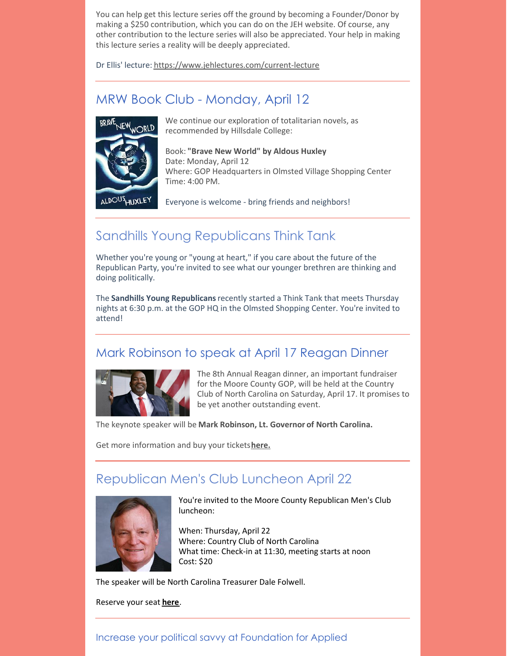You can help get this lecture series off the ground by becoming a Founder/Donor by making a \$250 contribution, which you can do on the JEH website. Of course, any other contribution to the lecture series will also be appreciated. Your help in making this lecture series a reality will be deeply appreciated.

Dr Ellis' lecture: <https://www.jehlectures.com/current-lecture>

### MRW Book Club - Monday, April 12



We continue our exploration of totalitarian novels, as recommended by Hillsdale College:

Book: **"Brave New World" by Aldous Huxley** Date: Monday, April 12 Where: GOP Headquarters in Olmsted Village Shopping Center Time: 4:00 PM.

ALDOUS<sub>HUXLEY</sub>

Everyone is welcome - bring friends and neighbors!

### Sandhills Young Republicans Think Tank

Whether you're young or "young at heart," if you care about the future of the Republican Party, you're invited to see what our younger brethren are thinking and doing politically.

The **Sandhills Young Republicans**recently started a Think Tank that meets Thursday nights at 6:30 p.m. at the GOP HQ in the Olmsted Shopping Center. You're invited to attend!

### Mark Robinson to speak at April 17 Reagan Dinner



The 8th Annual Reagan dinner, an important fundraiser for the Moore County GOP, will be held at the Country Club of North Carolina on Saturday, April 17. It promises to be yet another outstanding event.

The keynote speaker will be **Mark Robinson, Lt. Governor of North Carolina.**

Get more information and buy your tickets**[here.](https://sites.google.com/view/2021-reagan-day-dinner/reagan-day-dinner?authuser=0&fbclid=IwAR2WOXhfSKyu4R4dEjvqX7jsOhAdxMRvbKDSkOO9T3t-rsYYclLSwJkD-3c)**

## Republican Men's Club Luncheon April 22



You're invited to the Moore County Republican Men's Club luncheon:

When: Thursday, April 22 Where: Country Club of North Carolina What time: Check-in at 11:30, meeting starts at noon Cost: \$20

The speaker will be North Carolina Treasurer Dale Folwell.

Reserve your seat **[here](https://docs.google.com/forms/d/174MOOCxFJKN7O1UibVQvSvPo3D3q6a5OJAKr4LYQPwU/viewform?edit_requested=true)**.

### Increase your political savvy at Foundation for Applied